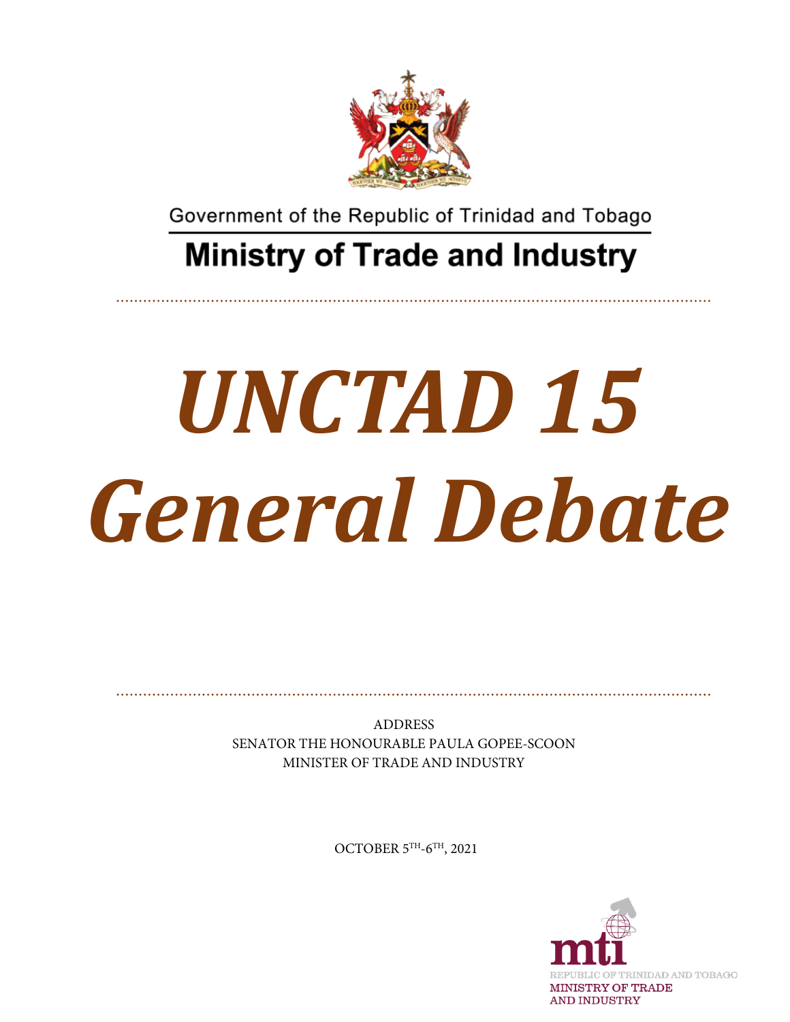

Government of the Republic of Trinidad and Tobago

## **Ministry of Trade and Industry**

## *UNCTAD 15 General Debate*

ADDRESS SENATOR THE HONOURABLE PAULA GOPEE-SCOON MINISTER OF TRADE AND INDUSTRY

OCTOBER 5TH-6TH, 2021

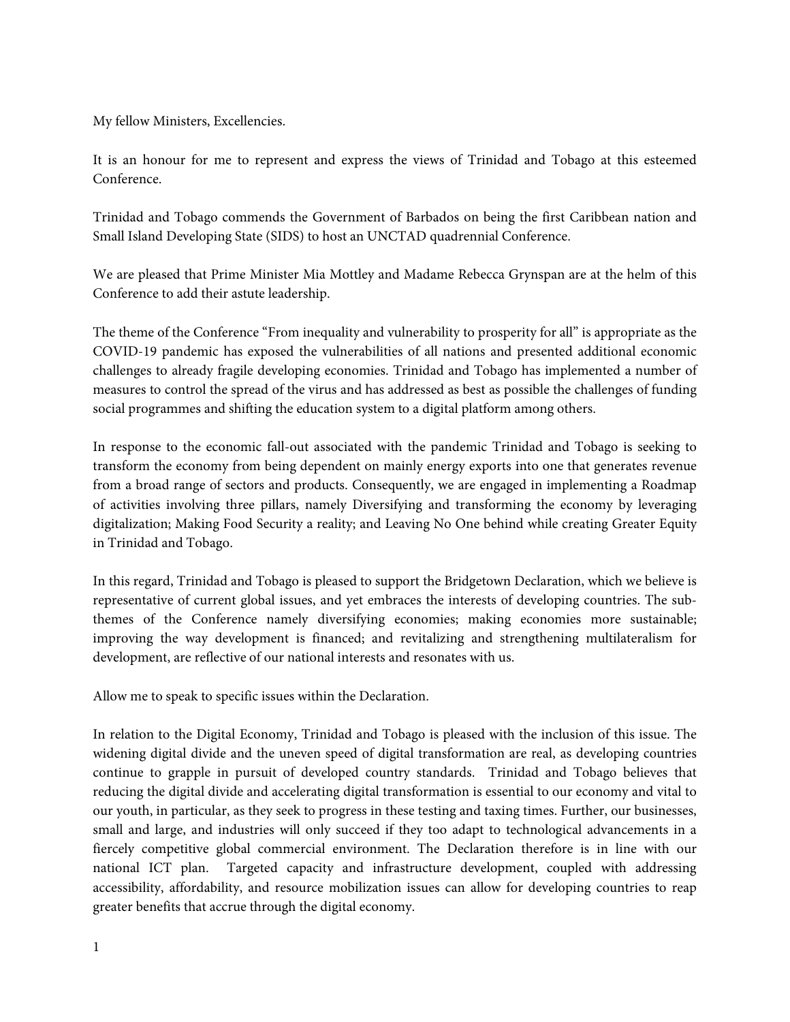My fellow Ministers, Excellencies.

It is an honour for me to represent and express the views of Trinidad and Tobago at this esteemed Conference.

Trinidad and Tobago commends the Government of Barbados on being the first Caribbean nation and Small Island Developing State (SIDS) to host an UNCTAD quadrennial Conference.

We are pleased that Prime Minister Mia Mottley and Madame Rebecca Grynspan are at the helm of this Conference to add their astute leadership.

The theme of the Conference "From inequality and vulnerability to prosperity for all" is appropriate as the COVID-19 pandemic has exposed the vulnerabilities of all nations and presented additional economic challenges to already fragile developing economies. Trinidad and Tobago has implemented a number of measures to control the spread of the virus and has addressed as best as possible the challenges of funding social programmes and shifting the education system to a digital platform among others.

In response to the economic fall-out associated with the pandemic Trinidad and Tobago is seeking to transform the economy from being dependent on mainly energy exports into one that generates revenue from a broad range of sectors and products. Consequently, we are engaged in implementing a Roadmap of activities involving three pillars, namely Diversifying and transforming the economy by leveraging digitalization; Making Food Security a reality; and Leaving No One behind while creating Greater Equity in Trinidad and Tobago.

In this regard, Trinidad and Tobago is pleased to support the Bridgetown Declaration, which we believe is representative of current global issues, and yet embraces the interests of developing countries. The subthemes of the Conference namely diversifying economies; making economies more sustainable; improving the way development is financed; and revitalizing and strengthening multilateralism for development, are reflective of our national interests and resonates with us.

Allow me to speak to specific issues within the Declaration.

In relation to the Digital Economy, Trinidad and Tobago is pleased with the inclusion of this issue. The widening digital divide and the uneven speed of digital transformation are real, as developing countries continue to grapple in pursuit of developed country standards. Trinidad and Tobago believes that reducing the digital divide and accelerating digital transformation is essential to our economy and vital to our youth, in particular, as they seek to progress in these testing and taxing times. Further, our businesses, small and large, and industries will only succeed if they too adapt to technological advancements in a fiercely competitive global commercial environment. The Declaration therefore is in line with our national ICT plan. Targeted capacity and infrastructure development, coupled with addressing accessibility, affordability, and resource mobilization issues can allow for developing countries to reap greater benefits that accrue through the digital economy.